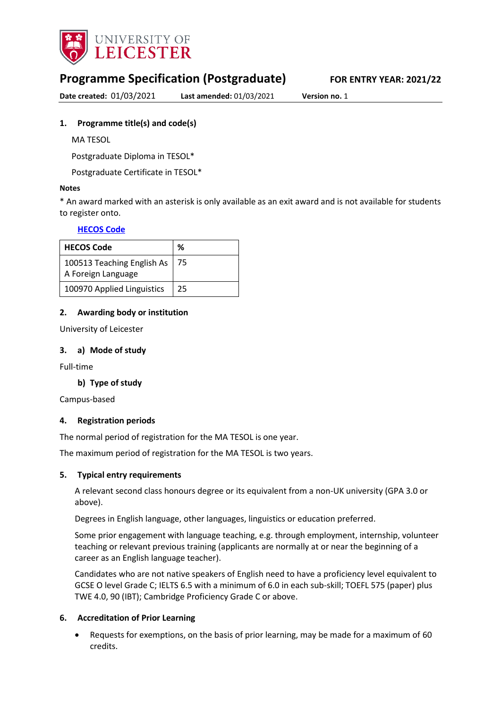

# **Programme Specification (Postgraduate) FOR ENTRY YEAR: 2021/22**

**Date created:** 01/03/2021 **Last amended:** 01/03/2021 **Version no.** 1

### <span id="page-0-0"></span>**1. Programme title(s) and code(s)**

MA TESOL

Postgraduate Diploma in TESOL\*

Postgraduate Certificate in TESOL\*

#### **Notes**

\* An award marked with an asterisk is only available as an exit award and is not available for students to register onto.

## **[HECOS Code](https://www.hesa.ac.uk/innovation/hecos)**

| <b>HECOS Code</b>          | %  |
|----------------------------|----|
| 100513 Teaching English As | 75 |
| A Foreign Language         |    |
| 100970 Applied Linguistics | 25 |

### **2. Awarding body or institution**

University of Leicester

#### **3. a) Mode of study**

Full-time

### **b) Type of study**

Campus-based

#### **4. Registration periods**

The normal period of registration for the MA TESOL is one year.

The maximum period of registration for the MA TESOL is two years.

#### **5. Typical entry requirements**

A relevant second class honours degree or its equivalent from a non-UK university (GPA 3.0 or above).

Degrees in English language, other languages, linguistics or education preferred.

Some prior engagement with language teaching, e.g. through employment, internship, volunteer teaching or relevant previous training (applicants are normally at or near the beginning of a career as an English language teacher).

Candidates who are not native speakers of English need to have a proficiency level equivalent to GCSE O level Grade C; IELTS 6.5 with a minimum of 6.0 in each sub-skill; TOEFL 575 (paper) plus TWE 4.0, 90 (IBT); Cambridge Proficiency Grade C or above.

### **6. Accreditation of Prior Learning**

 Requests for exemptions, on the basis of prior learning, may be made for a maximum of 60 credits.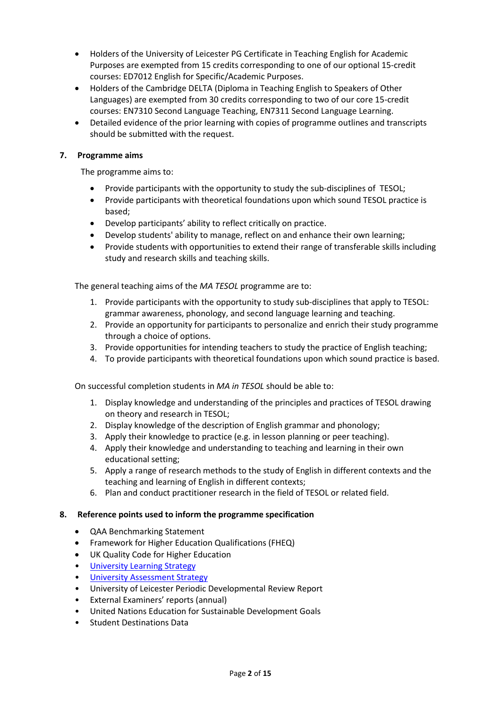- Holders of the University of Leicester PG Certificate in Teaching English for Academic Purposes are exempted from 15 credits corresponding to one of our optional 15-credit courses: ED7012 English for Specific/Academic Purposes.
- Holders of the Cambridge DELTA (Diploma in Teaching English to Speakers of Other Languages) are exempted from 30 credits corresponding to two of our core 15-credit courses: EN7310 Second Language Teaching, EN7311 Second Language Learning.
- Detailed evidence of the prior learning with copies of programme outlines and transcripts should be submitted with the request.

### **7. Programme aims**

The programme aims to:

- Provide participants with the opportunity to study the sub-disciplines of TESOL;
- Provide participants with theoretical foundations upon which sound TESOL practice is based;
- Develop participants' ability to reflect critically on practice.
- Develop students' ability to manage, reflect on and enhance their own learning;
- Provide students with opportunities to extend their range of transferable skills including study and research skills and teaching skills.

The general teaching aims of the *MA TESOL* programme are to:

- 1. Provide participants with the opportunity to study sub-disciplines that apply to TESOL: grammar awareness, phonology, and second language learning and teaching.
- 2. Provide an opportunity for participants to personalize and enrich their study programme through a choice of options.
- 3. Provide opportunities for intending teachers to study the practice of English teaching;
- 4. To provide participants with theoretical foundations upon which sound practice is based.

On successful completion students in *MA in TESOL* should be able to:

- 1. Display knowledge and understanding of the principles and practices of TESOL drawing on theory and research in TESOL;
- 2. Display knowledge of the description of English grammar and phonology;
- 3. Apply their knowledge to practice (e.g. in lesson planning or peer teaching).
- 4. Apply their knowledge and understanding to teaching and learning in their own educational setting;
- 5. Apply a range of research methods to the study of English in different contexts and the teaching and learning of English in different contexts;
- 6. Plan and conduct practitioner research in the field of TESOL or related field.

#### **8. Reference points used to inform the programme specification**

- QAA Benchmarking Statement
- Framework for Higher Education Qualifications (FHEQ)
- UK Quality Code for Higher Education
- [University Learning](https://www2.le.ac.uk/offices/sas2/quality/learnteach) Strategy
- [University Assessment Strategy](https://www2.le.ac.uk/offices/sas2/quality/learnteach)
- University of Leicester Periodic Developmental Review Report
- External Examiners' reports (annual)
- United Nations Education for Sustainable Development Goals
- Student Destinations Data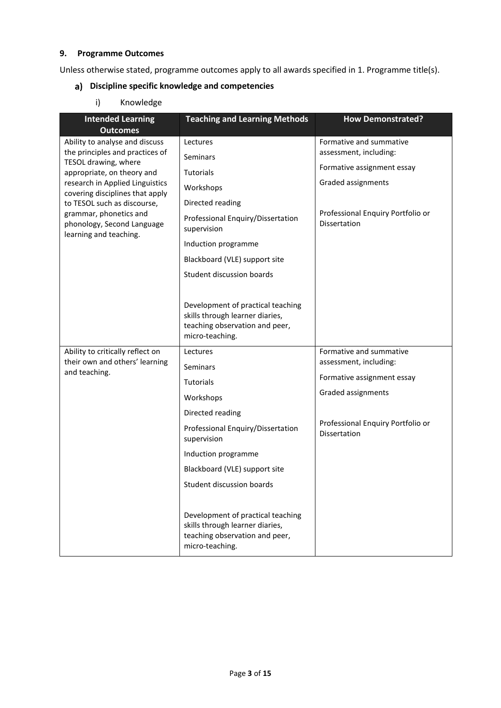### **9. Programme Outcomes**

Unless otherwise stated, programme outcomes apply to all awards specified in [1.](#page-0-0) Programme title(s).

# **Discipline specific knowledge and competencies**

i) Knowledge

| <b>Intended Learning</b><br><b>Outcomes</b>                                    | <b>Teaching and Learning Methods</b>                                                                                      | <b>How Demonstrated?</b>                          |
|--------------------------------------------------------------------------------|---------------------------------------------------------------------------------------------------------------------------|---------------------------------------------------|
| Ability to analyse and discuss                                                 | Lectures                                                                                                                  | Formative and summative                           |
| the principles and practices of                                                | <b>Seminars</b>                                                                                                           | assessment, including:                            |
| TESOL drawing, where<br>appropriate, on theory and                             | Tutorials                                                                                                                 | Formative assignment essay                        |
| research in Applied Linguistics                                                | Workshops                                                                                                                 | Graded assignments                                |
| covering disciplines that apply<br>to TESOL such as discourse,                 | Directed reading                                                                                                          |                                                   |
| grammar, phonetics and<br>phonology, Second Language<br>learning and teaching. | Professional Enquiry/Dissertation<br>supervision                                                                          | Professional Enquiry Portfolio or<br>Dissertation |
|                                                                                | Induction programme                                                                                                       |                                                   |
|                                                                                | Blackboard (VLE) support site                                                                                             |                                                   |
|                                                                                | Student discussion boards                                                                                                 |                                                   |
|                                                                                |                                                                                                                           |                                                   |
|                                                                                | Development of practical teaching<br>skills through learner diaries,<br>teaching observation and peer,<br>micro-teaching. |                                                   |
| Ability to critically reflect on                                               | Lectures                                                                                                                  | Formative and summative                           |
| their own and others' learning<br>and teaching.                                | Seminars                                                                                                                  | assessment, including:                            |
|                                                                                | <b>Tutorials</b>                                                                                                          | Formative assignment essay                        |
|                                                                                | Workshops                                                                                                                 | Graded assignments                                |
|                                                                                | Directed reading                                                                                                          |                                                   |
|                                                                                | Professional Enquiry/Dissertation<br>supervision                                                                          | Professional Enquiry Portfolio or<br>Dissertation |
|                                                                                | Induction programme                                                                                                       |                                                   |
|                                                                                | Blackboard (VLE) support site                                                                                             |                                                   |
|                                                                                | Student discussion boards                                                                                                 |                                                   |
|                                                                                | Development of practical teaching<br>skills through learner diaries,<br>teaching observation and peer,<br>micro-teaching. |                                                   |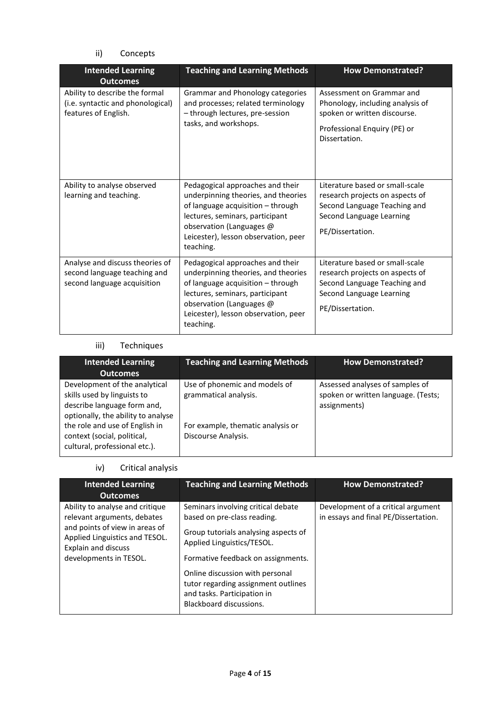ii) Concepts

| <b>Intended Learning</b><br><b>Outcomes</b>                                                    | <b>Teaching and Learning Methods</b>                                                                                                                                                                                             | <b>How Demonstrated?</b>                                                                                                                           |
|------------------------------------------------------------------------------------------------|----------------------------------------------------------------------------------------------------------------------------------------------------------------------------------------------------------------------------------|----------------------------------------------------------------------------------------------------------------------------------------------------|
| Ability to describe the formal<br>(i.e. syntactic and phonological)<br>features of English.    | Grammar and Phonology categories<br>and processes; related terminology<br>- through lectures, pre-session<br>tasks, and workshops.                                                                                               | Assessment on Grammar and<br>Phonology, including analysis of<br>spoken or written discourse.<br>Professional Enquiry (PE) or<br>Dissertation.     |
| Ability to analyse observed<br>learning and teaching.                                          | Pedagogical approaches and their<br>underpinning theories, and theories<br>of language acquisition - through<br>lectures, seminars, participant<br>observation (Languages @<br>Leicester), lesson observation, peer<br>teaching. | Literature based or small-scale<br>research projects on aspects of<br>Second Language Teaching and<br>Second Language Learning<br>PE/Dissertation. |
| Analyse and discuss theories of<br>second language teaching and<br>second language acquisition | Pedagogical approaches and their<br>underpinning theories, and theories<br>of language acquisition - through<br>lectures, seminars, participant<br>observation (Languages @<br>Leicester), lesson observation, peer<br>teaching. | Literature based or small-scale<br>research projects on aspects of<br>Second Language Teaching and<br>Second Language Learning<br>PE/Dissertation. |

# iii) Techniques

| <b>Intended Learning</b><br><b>Outcomes</b>                                                                                       | <b>Teaching and Learning Methods</b>                     | <b>How Demonstrated?</b>                                                               |
|-----------------------------------------------------------------------------------------------------------------------------------|----------------------------------------------------------|----------------------------------------------------------------------------------------|
| Development of the analytical<br>skills used by linguists to<br>describe language form and,<br>optionally, the ability to analyse | Use of phonemic and models of<br>grammatical analysis.   | Assessed analyses of samples of<br>spoken or written language. (Tests;<br>assignments) |
| the role and use of English in<br>context (social, political,<br>cultural, professional etc.).                                    | For example, thematic analysis or<br>Discourse Analysis. |                                                                                        |

# iv) Critical analysis

| <b>Intended Learning</b><br><b>Outcomes</b>                                                                                                                                                | <b>Teaching and Learning Methods</b>                                                                                                                                                                                                                                                                              | <b>How Demonstrated?</b>                                                   |
|--------------------------------------------------------------------------------------------------------------------------------------------------------------------------------------------|-------------------------------------------------------------------------------------------------------------------------------------------------------------------------------------------------------------------------------------------------------------------------------------------------------------------|----------------------------------------------------------------------------|
| Ability to analyse and critique<br>relevant arguments, debates<br>and points of view in areas of<br>Applied Linguistics and TESOL.<br><b>Explain and discuss</b><br>developments in TESOL. | Seminars involving critical debate<br>based on pre-class reading.<br>Group tutorials analysing aspects of<br>Applied Linguistics/TESOL.<br>Formative feedback on assignments.<br>Online discussion with personal<br>tutor regarding assignment outlines<br>and tasks. Participation in<br>Blackboard discussions. | Development of a critical argument<br>in essays and final PE/Dissertation. |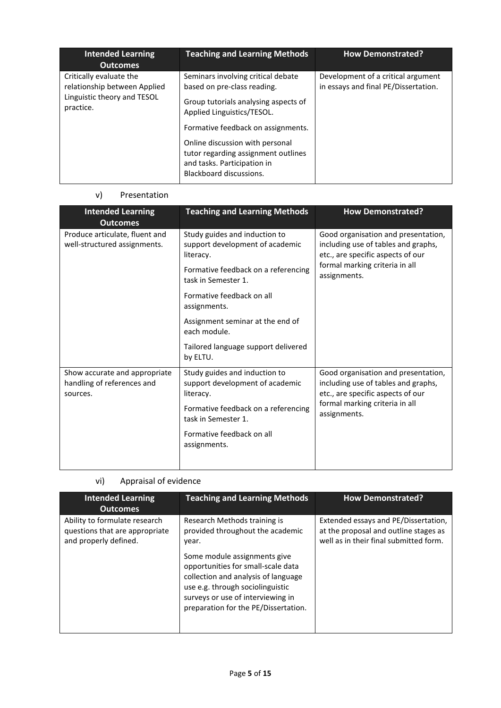| <b>Intended Learning</b><br><b>Outcomes</b>                                                         | <b>Teaching and Learning Methods</b>                                                                                                                                                                                                                                                                              | <b>How Demonstrated?</b>                                                   |
|-----------------------------------------------------------------------------------------------------|-------------------------------------------------------------------------------------------------------------------------------------------------------------------------------------------------------------------------------------------------------------------------------------------------------------------|----------------------------------------------------------------------------|
| Critically evaluate the<br>relationship between Applied<br>Linguistic theory and TESOL<br>practice. | Seminars involving critical debate<br>based on pre-class reading.<br>Group tutorials analysing aspects of<br>Applied Linguistics/TESOL.<br>Formative feedback on assignments.<br>Online discussion with personal<br>tutor regarding assignment outlines<br>and tasks. Participation in<br>Blackboard discussions. | Development of a critical argument<br>in essays and final PE/Dissertation. |

### v) Presentation

| <b>Intended Learning</b><br><b>Outcomes</b>                             | <b>Teaching and Learning Methods</b>                                          | <b>How Demonstrated?</b>                                                                                        |
|-------------------------------------------------------------------------|-------------------------------------------------------------------------------|-----------------------------------------------------------------------------------------------------------------|
| Produce articulate, fluent and<br>well-structured assignments.          | Study guides and induction to<br>support development of academic<br>literacy. | Good organisation and presentation,<br>including use of tables and graphs,<br>etc., are specific aspects of our |
|                                                                         | Formative feedback on a referencing<br>task in Semester 1.                    | formal marking criteria in all<br>assignments.                                                                  |
|                                                                         | Formative feedback on all<br>assignments.                                     |                                                                                                                 |
|                                                                         | Assignment seminar at the end of<br>each module.                              |                                                                                                                 |
|                                                                         | Tailored language support delivered<br>by ELTU.                               |                                                                                                                 |
| Show accurate and appropriate<br>handling of references and<br>sources. | Study guides and induction to<br>support development of academic<br>literacy. | Good organisation and presentation,<br>including use of tables and graphs,<br>etc., are specific aspects of our |
|                                                                         | Formative feedback on a referencing<br>task in Semester 1.                    | formal marking criteria in all<br>assignments.                                                                  |
|                                                                         | Formative feedback on all<br>assignments.                                     |                                                                                                                 |

# vi) Appraisal of evidence

| <b>Intended Learning</b><br><b>Outcomes</b>                                              | <b>Teaching and Learning Methods</b>                                                                                                                                                                                                                                                                    | <b>How Demonstrated?</b>                                                                                                |
|------------------------------------------------------------------------------------------|---------------------------------------------------------------------------------------------------------------------------------------------------------------------------------------------------------------------------------------------------------------------------------------------------------|-------------------------------------------------------------------------------------------------------------------------|
| Ability to formulate research<br>questions that are appropriate<br>and properly defined. | Research Methods training is<br>provided throughout the academic<br>year.<br>Some module assignments give<br>opportunities for small-scale data<br>collection and analysis of language<br>use e.g. through sociolinguistic<br>surveys or use of interviewing in<br>preparation for the PE/Dissertation. | Extended essays and PE/Dissertation,<br>at the proposal and outline stages as<br>well as in their final submitted form. |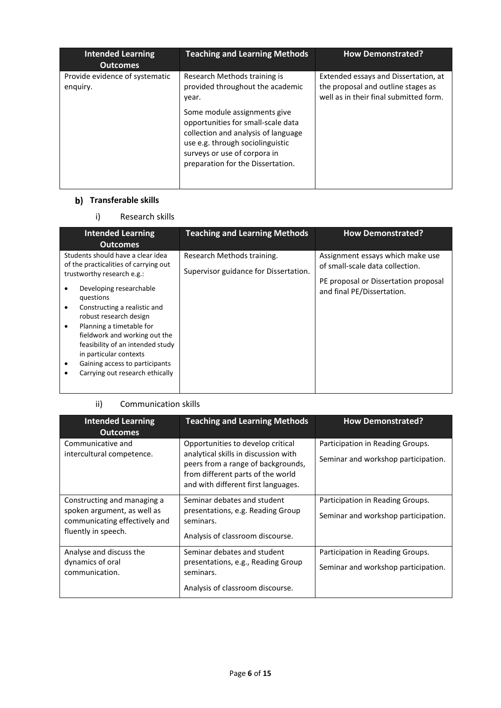| <b>Intended Learning</b><br><b>Outcomes</b> | <b>Teaching and Learning Methods</b>                                                                                                                                                                               | <b>How Demonstrated?</b>                                                                                             |
|---------------------------------------------|--------------------------------------------------------------------------------------------------------------------------------------------------------------------------------------------------------------------|----------------------------------------------------------------------------------------------------------------------|
| Provide evidence of systematic<br>enguiry.  | Research Methods training is<br>provided throughout the academic<br>year.                                                                                                                                          | Extended essays and Dissertation, at<br>the proposal and outline stages as<br>well as in their final submitted form. |
|                                             | Some module assignments give<br>opportunities for small-scale data<br>collection and analysis of language<br>use e.g. through sociolinguistic<br>surveys or use of corpora in<br>preparation for the Dissertation. |                                                                                                                      |

# **b)** Transferable skills

# i) Research skills

| <b>Intended Learning</b><br><b>Outcomes</b>                                                                                                                                                                                                                                                                                                                                                                                                       | <b>Teaching and Learning Methods</b>                                | <b>How Demonstrated?</b>                                                                                                                  |
|---------------------------------------------------------------------------------------------------------------------------------------------------------------------------------------------------------------------------------------------------------------------------------------------------------------------------------------------------------------------------------------------------------------------------------------------------|---------------------------------------------------------------------|-------------------------------------------------------------------------------------------------------------------------------------------|
| Students should have a clear idea<br>of the practicalities of carrying out<br>trustworthy research e.g.:<br>Developing researchable<br>questions<br>Constructing a realistic and<br>$\bullet$<br>robust research design<br>Planning a timetable for<br>$\bullet$<br>fieldwork and working out the<br>feasibility of an intended study<br>in particular contexts<br>Gaining access to participants<br>$\bullet$<br>Carrying out research ethically | Research Methods training.<br>Supervisor guidance for Dissertation. | Assignment essays which make use<br>of small-scale data collection.<br>PE proposal or Dissertation proposal<br>and final PE/Dissertation. |

### ii) Communication skills

| <b>Intended Learning</b><br><b>Outcomes</b>                                                                        | <b>Teaching and Learning Methods</b>                                                                                                                                                        | <b>How Demonstrated?</b>                                                |
|--------------------------------------------------------------------------------------------------------------------|---------------------------------------------------------------------------------------------------------------------------------------------------------------------------------------------|-------------------------------------------------------------------------|
| Communicative and<br>intercultural competence.                                                                     | Opportunities to develop critical<br>analytical skills in discussion with<br>peers from a range of backgrounds,<br>from different parts of the world<br>and with different first languages. | Participation in Reading Groups.<br>Seminar and workshop participation. |
| Constructing and managing a<br>spoken argument, as well as<br>communicating effectively and<br>fluently in speech. | Seminar debates and student<br>presentations, e.g. Reading Group<br>seminars.<br>Analysis of classroom discourse.                                                                           | Participation in Reading Groups.<br>Seminar and workshop participation. |
| Analyse and discuss the<br>dynamics of oral<br>communication.                                                      | Seminar debates and student<br>presentations, e.g., Reading Group<br>seminars.<br>Analysis of classroom discourse.                                                                          | Participation in Reading Groups.<br>Seminar and workshop participation. |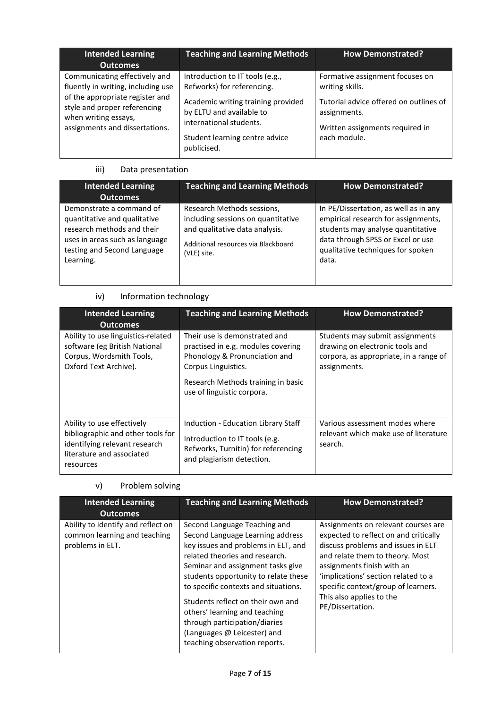| <b>Intended Learning</b><br><b>Outcomes</b>                                                                                                                                                      | <b>Teaching and Learning Methods</b>                                                                                                                                                                        | <b>How Demonstrated?</b>                                                                                                                                        |
|--------------------------------------------------------------------------------------------------------------------------------------------------------------------------------------------------|-------------------------------------------------------------------------------------------------------------------------------------------------------------------------------------------------------------|-----------------------------------------------------------------------------------------------------------------------------------------------------------------|
| Communicating effectively and<br>fluently in writing, including use<br>of the appropriate register and<br>style and proper referencing<br>when writing essays,<br>assignments and dissertations. | Introduction to IT tools (e.g.,<br>Refworks) for referencing.<br>Academic writing training provided<br>by ELTU and available to<br>international students.<br>Student learning centre advice<br>publicised. | Formative assignment focuses on<br>writing skills.<br>Tutorial advice offered on outlines of<br>assignments.<br>Written assignments required in<br>each module. |

# iii) Data presentation

| <b>Intended Learning</b><br><b>Outcomes</b>                                                                                                                          | <b>Teaching and Learning Methods</b>                                                                                                                     | <b>How Demonstrated?</b>                                                                                                                                                                             |
|----------------------------------------------------------------------------------------------------------------------------------------------------------------------|----------------------------------------------------------------------------------------------------------------------------------------------------------|------------------------------------------------------------------------------------------------------------------------------------------------------------------------------------------------------|
| Demonstrate a command of<br>quantitative and qualitative<br>research methods and their<br>uses in areas such as language<br>testing and Second Language<br>Learning. | Research Methods sessions,<br>including sessions on quantitative<br>and qualitative data analysis.<br>Additional resources via Blackboard<br>(VLE) site. | In PE/Dissertation, as well as in any<br>empirical research for assignments,<br>students may analyse quantitative<br>data through SPSS or Excel or use<br>qualitative techniques for spoken<br>data. |

# iv) Information technology

| <b>Intended Learning</b><br><b>Outcomes</b>                                                                                                | <b>Teaching and Learning Methods</b>                                                                                                                                                            | <b>How Demonstrated?</b>                                                                                                     |
|--------------------------------------------------------------------------------------------------------------------------------------------|-------------------------------------------------------------------------------------------------------------------------------------------------------------------------------------------------|------------------------------------------------------------------------------------------------------------------------------|
| Ability to use linguistics-related<br>software (eg British National<br>Corpus, Wordsmith Tools,<br>Oxford Text Archive).                   | Their use is demonstrated and<br>practised in e.g. modules covering<br>Phonology & Pronunciation and<br>Corpus Linguistics.<br>Research Methods training in basic<br>use of linguistic corpora. | Students may submit assignments<br>drawing on electronic tools and<br>corpora, as appropriate, in a range of<br>assignments. |
| Ability to use effectively<br>bibliographic and other tools for<br>identifying relevant research<br>literature and associated<br>resources | Induction - Education Library Staff<br>Introduction to IT tools (e.g.<br>Refworks, Turnitin) for referencing<br>and plagiarism detection.                                                       | Various assessment modes where<br>relevant which make use of literature<br>search.                                           |

# v) Problem solving

| <b>Intended Learning</b><br><b>Outcomes</b>                                            | <b>Teaching and Learning Methods</b>                                                                                                                                                                                                                                                                                                                                                                                                  | <b>How Demonstrated?</b>                                                                                                                                                                                                                                                                                          |
|----------------------------------------------------------------------------------------|---------------------------------------------------------------------------------------------------------------------------------------------------------------------------------------------------------------------------------------------------------------------------------------------------------------------------------------------------------------------------------------------------------------------------------------|-------------------------------------------------------------------------------------------------------------------------------------------------------------------------------------------------------------------------------------------------------------------------------------------------------------------|
| Ability to identify and reflect on<br>common learning and teaching<br>problems in ELT. | Second Language Teaching and<br>Second Language Learning address<br>key issues and problems in ELT, and<br>related theories and research.<br>Seminar and assignment tasks give<br>students opportunity to relate these<br>to specific contexts and situations.<br>Students reflect on their own and<br>others' learning and teaching<br>through participation/diaries<br>(Languages @ Leicester) and<br>teaching observation reports. | Assignments on relevant courses are<br>expected to reflect on and critically<br>discuss problems and issues in ELT<br>and relate them to theory. Most<br>assignments finish with an<br>'implications' section related to a<br>specific context/group of learners.<br>This also applies to the<br>PE/Dissertation. |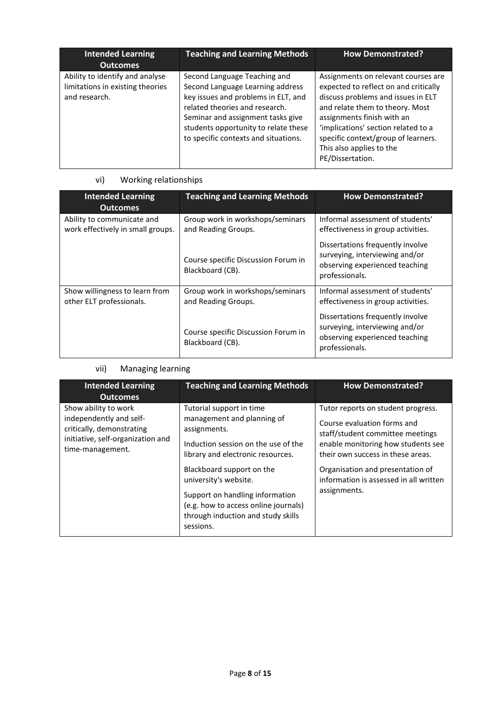| <b>Intended Learning</b><br><b>Outcomes</b>                                          | <b>Teaching and Learning Methods</b>                                                                                                                                                                                                                           | <b>How Demonstrated?</b>                                                                                                                                                                                                                                                                                          |
|--------------------------------------------------------------------------------------|----------------------------------------------------------------------------------------------------------------------------------------------------------------------------------------------------------------------------------------------------------------|-------------------------------------------------------------------------------------------------------------------------------------------------------------------------------------------------------------------------------------------------------------------------------------------------------------------|
| Ability to identify and analyse<br>limitations in existing theories<br>and research. | Second Language Teaching and<br>Second Language Learning address<br>key issues and problems in ELT, and<br>related theories and research.<br>Seminar and assignment tasks give<br>students opportunity to relate these<br>to specific contexts and situations. | Assignments on relevant courses are<br>expected to reflect on and critically<br>discuss problems and issues in ELT<br>and relate them to theory. Most<br>assignments finish with an<br>'implications' section related to a<br>specific context/group of learners.<br>This also applies to the<br>PE/Dissertation. |

# vi) Working relationships

| <b>Intended Learning</b><br><b>Outcomes</b>                     | <b>Teaching and Learning Methods</b>                    | <b>How Demonstrated?</b>                                                                                               |  |
|-----------------------------------------------------------------|---------------------------------------------------------|------------------------------------------------------------------------------------------------------------------------|--|
| Ability to communicate and<br>work effectively in small groups. | Group work in workshops/seminars<br>and Reading Groups. | Informal assessment of students'<br>effectiveness in group activities.                                                 |  |
|                                                                 | Course specific Discussion Forum in<br>Blackboard (CB). | Dissertations frequently involve<br>surveying, interviewing and/or<br>observing experienced teaching<br>professionals. |  |
| Show willingness to learn from<br>other ELT professionals.      | Group work in workshops/seminars<br>and Reading Groups. | Informal assessment of students'<br>effectiveness in group activities.                                                 |  |
|                                                                 | Course specific Discussion Forum in<br>Blackboard (CB). | Dissertations frequently involve<br>surveying, interviewing and/or<br>observing experienced teaching<br>professionals. |  |

# vii) Managing learning

| <b>Intended Learning</b><br><b>Outcomes</b>                                                                                           | <b>Teaching and Learning Methods</b>                                                                                                                                             | <b>How Demonstrated?</b>                                                                                                                                                         |
|---------------------------------------------------------------------------------------------------------------------------------------|----------------------------------------------------------------------------------------------------------------------------------------------------------------------------------|----------------------------------------------------------------------------------------------------------------------------------------------------------------------------------|
| Show ability to work<br>independently and self-<br>critically, demonstrating<br>initiative, self-organization and<br>time-management. | Tutorial support in time<br>management and planning of<br>assignments.<br>Induction session on the use of the<br>library and electronic resources.                               | Tutor reports on student progress.<br>Course evaluation forms and<br>staff/student committee meetings<br>enable monitoring how students see<br>their own success in these areas. |
|                                                                                                                                       | Blackboard support on the<br>university's website.<br>Support on handling information<br>(e.g. how to access online journals)<br>through induction and study skills<br>sessions. | Organisation and presentation of<br>information is assessed in all written<br>assignments.                                                                                       |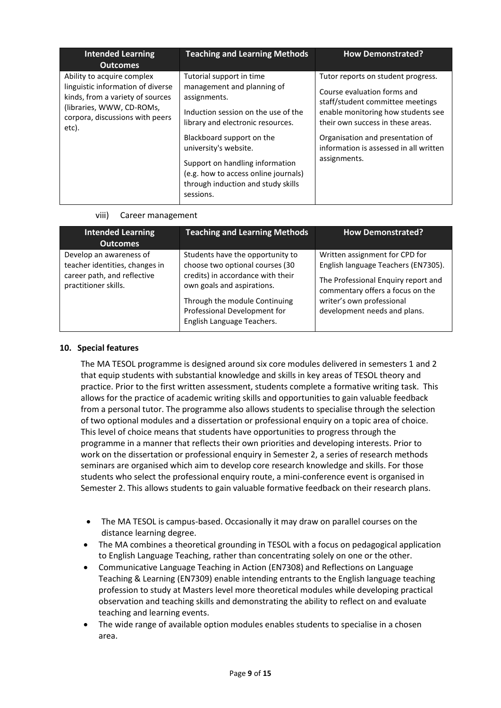| <b>Intended Learning</b><br><b>Outcomes</b>                                                                                                                                  | <b>Teaching and Learning Methods</b>                                                                                                                                                                                                                                                                                                   | <b>How Demonstrated?</b>                                                                                                                                                                                                                                                       |
|------------------------------------------------------------------------------------------------------------------------------------------------------------------------------|----------------------------------------------------------------------------------------------------------------------------------------------------------------------------------------------------------------------------------------------------------------------------------------------------------------------------------------|--------------------------------------------------------------------------------------------------------------------------------------------------------------------------------------------------------------------------------------------------------------------------------|
| Ability to acquire complex<br>linguistic information of diverse<br>kinds, from a variety of sources<br>(libraries, WWW, CD-ROMs,<br>corpora, discussions with peers<br>etc). | Tutorial support in time<br>management and planning of<br>assignments.<br>Induction session on the use of the<br>library and electronic resources.<br>Blackboard support on the<br>university's website.<br>Support on handling information<br>(e.g. how to access online journals)<br>through induction and study skills<br>sessions. | Tutor reports on student progress.<br>Course evaluation forms and<br>staff/student committee meetings<br>enable monitoring how students see<br>their own success in these areas.<br>Organisation and presentation of<br>information is assessed in all written<br>assignments. |

viii) Career management

| <b>Intended Learning</b><br><b>Outcomes</b>                                                                      | <b>Teaching and Learning Methods</b>                                                                                                                                                                                                  | <b>How Demonstrated?</b>                                                                                                                                                                                      |
|------------------------------------------------------------------------------------------------------------------|---------------------------------------------------------------------------------------------------------------------------------------------------------------------------------------------------------------------------------------|---------------------------------------------------------------------------------------------------------------------------------------------------------------------------------------------------------------|
| Develop an awareness of<br>teacher identities, changes in<br>career path, and reflective<br>practitioner skills. | Students have the opportunity to<br>choose two optional courses (30<br>credits) in accordance with their<br>own goals and aspirations.<br>Through the module Continuing<br>Professional Development for<br>English Language Teachers. | Written assignment for CPD for<br>English language Teachers (EN7305).<br>The Professional Enquiry report and<br>commentary offers a focus on the<br>writer's own professional<br>development needs and plans. |

### **10. Special features**

The MA TESOL programme is designed around six core modules delivered in semesters 1 and 2 that equip students with substantial knowledge and skills in key areas of TESOL theory and practice. Prior to the first written assessment, students complete a formative writing task. This allows for the practice of academic writing skills and opportunities to gain valuable feedback from a personal tutor. The programme also allows students to specialise through the selection of two optional modules and a dissertation or professional enquiry on a topic area of choice. This level of choice means that students have opportunities to progress through the programme in a manner that reflects their own priorities and developing interests. Prior to work on the dissertation or professional enquiry in Semester 2, a series of research methods seminars are organised which aim to develop core research knowledge and skills. For those students who select the professional enquiry route, a mini-conference event is organised in Semester 2. This allows students to gain valuable formative feedback on their research plans.

- The MA TESOL is campus-based. Occasionally it may draw on parallel courses on the distance learning degree.
- The MA combines a theoretical grounding in TESOL with a focus on pedagogical application to English Language Teaching, rather than concentrating solely on one or the other.
- Communicative Language Teaching in Action (EN7308) and Reflections on Language Teaching & Learning (EN7309) enable intending entrants to the English language teaching profession to study at Masters level more theoretical modules while developing practical observation and teaching skills and demonstrating the ability to reflect on and evaluate teaching and learning events.
- The wide range of available option modules enables students to specialise in a chosen area.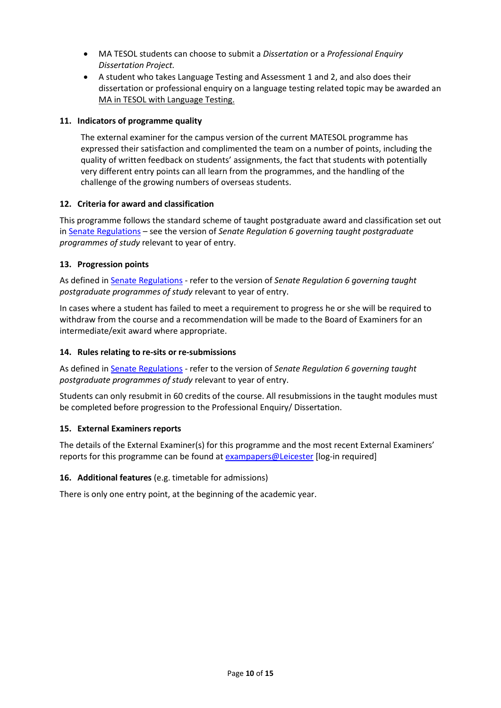- MA TESOL students can choose to submit a *Dissertation* or a *Professional Enquiry Dissertation Project.*
- A student who takes Language Testing and Assessment 1 and 2, and also does their dissertation or professional enquiry on a language testing related topic may be awarded an MA in TESOL with Language Testing.

### **11. Indicators of programme quality**

The external examiner for the campus version of the current MATESOL programme has expressed their satisfaction and complimented the team on a number of points, including the quality of written feedback on students' assignments, the fact that students with potentially very different entry points can all learn from the programmes, and the handling of the challenge of the growing numbers of overseas students.

### **12. Criteria for award and classification**

This programme follows the standard scheme of taught postgraduate award and classification set out i[n Senate Regulations](http://www.le.ac.uk/senate-regulations) – see the version of *Senate Regulation 6 governing taught postgraduate programmes of study* relevant to year of entry.

### **13. Progression points**

As defined i[n Senate Regulations](http://www.le.ac.uk/senate-regulation6) - refer to the version of *Senate Regulation 6 governing taught postgraduate programmes of study* relevant to year of entry.

In cases where a student has failed to meet a requirement to progress he or she will be required to withdraw from the course and a recommendation will be made to the Board of Examiners for an intermediate/exit award where appropriate.

#### **14. Rules relating to re-sits or re-submissions**

As defined i[n Senate Regulations](http://www.le.ac.uk/senate-regulation6) - refer to the version of *Senate Regulation 6 governing taught postgraduate programmes of study* relevant to year of entry.

Students can only resubmit in 60 credits of the course. All resubmissions in the taught modules must be completed before progression to the Professional Enquiry/ Dissertation.

#### **15. External Examiners reports**

The details of the External Examiner(s) for this programme and the most recent External Examiners' reports for this programme can be found at [exampapers@Leicester](https://exampapers.le.ac.uk/) [log-in required]

#### **16. Additional features** (e.g. timetable for admissions)

There is only one entry point, at the beginning of the academic year.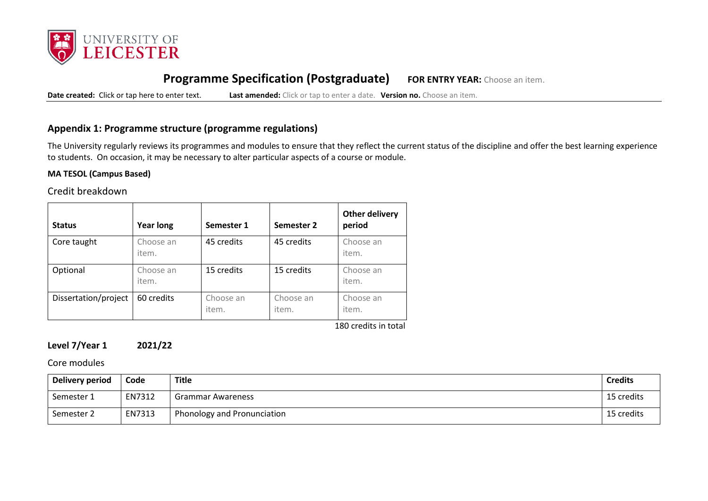

# **Programme Specification (Postgraduate) FOR ENTRY YEAR:** Choose an item.

**Date created:** Click or tap here to enter text. **Last amended:** Click or tap to enter a date. **Version no.** Choose an item.

## **Appendix 1: Programme structure (programme regulations)**

The University regularly reviews its programmes and modules to ensure that they reflect the current status of the discipline and offer the best learning experience to students. On occasion, it may be necessary to alter particular aspects of a course or module.

#### **MA TESOL (Campus Based)**

## Credit breakdown

| <b>Status</b>        | <b>Year long</b>   | Semester 1         | Semester 2         | Other delivery<br>period                     |
|----------------------|--------------------|--------------------|--------------------|----------------------------------------------|
| Core taught          | Choose an<br>item. | 45 credits         | 45 credits         | Choose an<br>item.                           |
| Optional             | Choose an<br>item. | 15 credits         | 15 credits         | Choose an<br>item.                           |
| Dissertation/project | 60 credits         | Choose an<br>item. | Choose an<br>item. | Choose an<br>item.<br>$100$ cradits in tatal |

180 credits in total

# **Level 7/Year 1 2021/22**

Core modules

| <b>Delivery period</b> | Code   | Title                                    | <b>Credits</b> |
|------------------------|--------|------------------------------------------|----------------|
| Semester 1             | EN7312 | Grammar Awareness                        | 15 credits     |
| Semester 2             | EN7313 | <sup>1</sup> Phonology and Pronunciation | 15 credits     |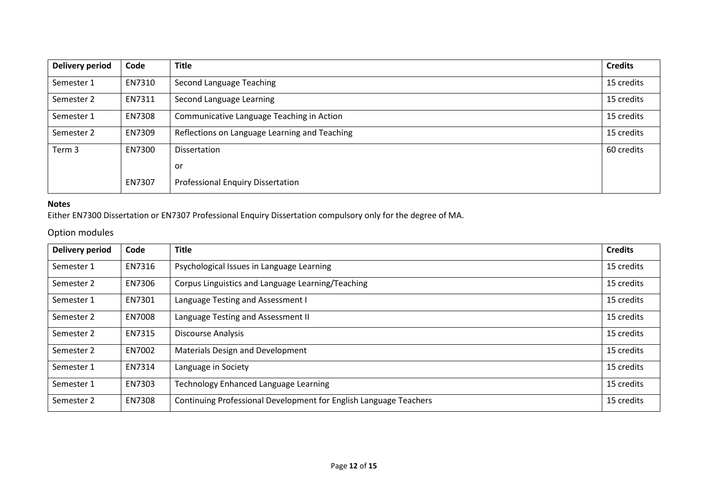| <b>Delivery period</b> | Code   | <b>Title</b>                                  | <b>Credits</b> |
|------------------------|--------|-----------------------------------------------|----------------|
| Semester 1             | EN7310 | Second Language Teaching                      | 15 credits     |
| Semester 2             | EN7311 | Second Language Learning                      | 15 credits     |
| Semester 1             | EN7308 | Communicative Language Teaching in Action     | 15 credits     |
| Semester 2             | EN7309 | Reflections on Language Learning and Teaching | 15 credits     |
| Term 3                 | EN7300 | Dissertation                                  | 60 credits     |
|                        |        | or                                            |                |
|                        | EN7307 | <b>Professional Enquiry Dissertation</b>      |                |

### **Notes**

Either EN7300 Dissertation or EN7307 Professional Enquiry Dissertation compulsory only for the degree of MA.

# Option modules

| <b>Delivery period</b> | Code   | <b>Title</b>                                                      | <b>Credits</b> |
|------------------------|--------|-------------------------------------------------------------------|----------------|
| Semester 1             | EN7316 | Psychological Issues in Language Learning                         | 15 credits     |
| Semester 2             | EN7306 | Corpus Linguistics and Language Learning/Teaching                 | 15 credits     |
| Semester 1             | EN7301 | Language Testing and Assessment I                                 | 15 credits     |
| Semester 2             | EN7008 | Language Testing and Assessment II                                | 15 credits     |
| Semester 2             | EN7315 | <b>Discourse Analysis</b>                                         | 15 credits     |
| Semester 2             | EN7002 | <b>Materials Design and Development</b>                           | 15 credits     |
| Semester 1             | EN7314 | Language in Society                                               | 15 credits     |
| Semester 1             | EN7303 | <b>Technology Enhanced Language Learning</b>                      | 15 credits     |
| Semester 2             | EN7308 | Continuing Professional Development for English Language Teachers | 15 credits     |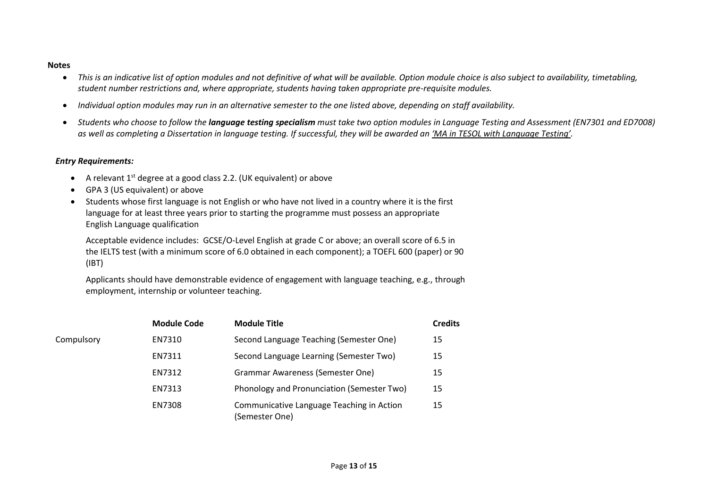#### **Notes**

- This is an indicative list of option modules and not definitive of what will be available. Option module choice is also subject to availability, timetabling, *student number restrictions and, where appropriate, students having taken appropriate pre-requisite modules.*
- *Individual option modules may run in an alternative semester to the one listed above, depending on staff availability.*
- *Students who choose to follow the language testing specialism must take two option modules in Language Testing and Assessment (EN7301 and ED7008) as well as completing a Dissertation in language testing. If successful, they will be awarded an 'MA in TESOL with Language Testing'.*

### *Entry Requirements:*

- A relevant 1<sup>st</sup> degree at a good class 2.2. (UK equivalent) or above
- GPA 3 (US equivalent) or above
- Students whose first language is not English or who have not lived in a country where it is the first language for at least three years prior to starting the programme must possess an appropriate English Language qualification

Acceptable evidence includes: GCSE/O-Level English at grade C or above; an overall score of 6.5 in the IELTS test (with a minimum score of 6.0 obtained in each component); a TOEFL 600 (paper) or 90 (IBT)

Applicants should have demonstrable evidence of engagement with language teaching, e.g., through employment, internship or volunteer teaching.

|            | <b>Module Code</b> | <b>Module Title</b>                                         | <b>Credits</b> |
|------------|--------------------|-------------------------------------------------------------|----------------|
| Compulsory | EN7310             | Second Language Teaching (Semester One)                     | 15             |
|            | EN7311             | Second Language Learning (Semester Two)                     | 15             |
|            | EN7312             | <b>Grammar Awareness (Semester One)</b>                     | 15             |
|            | EN7313             | Phonology and Pronunciation (Semester Two)                  | 15             |
|            | <b>EN7308</b>      | Communicative Language Teaching in Action<br>(Semester One) | 15             |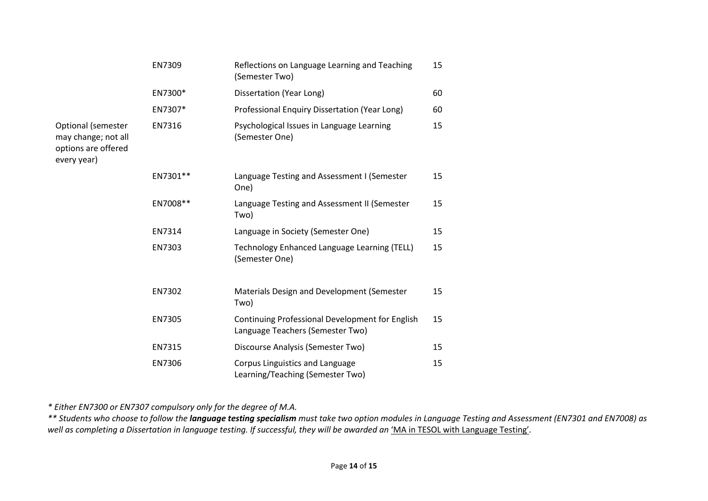|                                                                                 | EN7309   | Reflections on Language Learning and Teaching<br>(Semester Two)                     | 15 |
|---------------------------------------------------------------------------------|----------|-------------------------------------------------------------------------------------|----|
|                                                                                 | EN7300*  | Dissertation (Year Long)                                                            | 60 |
|                                                                                 | EN7307*  | Professional Enquiry Dissertation (Year Long)                                       | 60 |
| Optional (semester<br>may change; not all<br>options are offered<br>every year) | EN7316   | Psychological Issues in Language Learning<br>(Semester One)                         | 15 |
|                                                                                 | EN7301** | Language Testing and Assessment I (Semester<br>One)                                 | 15 |
|                                                                                 | EN7008** | Language Testing and Assessment II (Semester<br>Two)                                | 15 |
|                                                                                 | EN7314   | Language in Society (Semester One)                                                  | 15 |
|                                                                                 | EN7303   | Technology Enhanced Language Learning (TELL)<br>(Semester One)                      | 15 |
|                                                                                 | EN7302   | Materials Design and Development (Semester<br>Two)                                  | 15 |
|                                                                                 | EN7305   | Continuing Professional Development for English<br>Language Teachers (Semester Two) | 15 |
|                                                                                 | EN7315   | Discourse Analysis (Semester Two)                                                   | 15 |
|                                                                                 | EN7306   | Corpus Linguistics and Language<br>Learning/Teaching (Semester Two)                 | 15 |

*\* Either EN7300 or EN7307 compulsory only for the degree of M.A.*

*\*\* Students who choose to follow the language testing specialism must take two option modules in Language Testing and Assessment (EN7301 and EN7008) as*  well as completing a Dissertation in language testing. If successful, they will be awarded an 'MA in TESOL with Language Testing'.